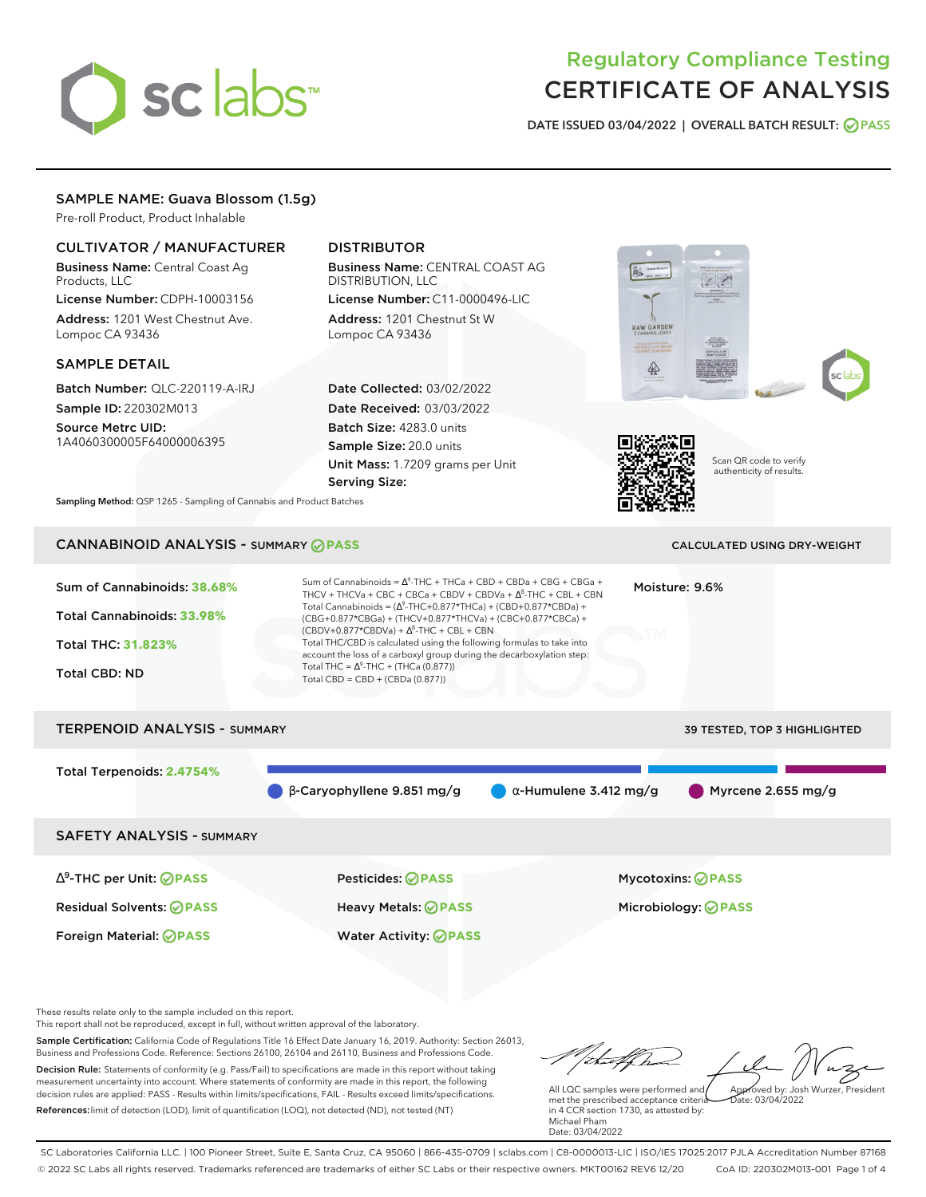# sclabs<sup>\*</sup>

# Regulatory Compliance Testing CERTIFICATE OF ANALYSIS

**DATE ISSUED 03/04/2022 | OVERALL BATCH RESULT: PASS**

# SAMPLE NAME: Guava Blossom (1.5g)

Pre-roll Product, Product Inhalable

# CULTIVATOR / MANUFACTURER

Business Name: Central Coast Ag Products, LLC

License Number: CDPH-10003156 Address: 1201 West Chestnut Ave. Lompoc CA 93436

#### SAMPLE DETAIL

Batch Number: QLC-220119-A-IRJ Sample ID: 220302M013

Source Metrc UID: 1A4060300005F64000006395

# DISTRIBUTOR

Business Name: CENTRAL COAST AG DISTRIBUTION, LLC

License Number: C11-0000496-LIC Address: 1201 Chestnut St W Lompoc CA 93436

Date Collected: 03/02/2022 Date Received: 03/03/2022 Batch Size: 4283.0 units Sample Size: 20.0 units Unit Mass: 1.7209 grams per Unit Serving Size:





Scan QR code to verify authenticity of results.

**Sampling Method:** QSP 1265 - Sampling of Cannabis and Product Batches

# CANNABINOID ANALYSIS - SUMMARY **PASS** CALCULATED USING DRY-WEIGHT

| Sum of Cannabinoids: 38.68%<br>Total Cannabinoids: 33.98%<br><b>Total THC: 31.823%</b><br><b>Total CBD: ND</b> | Sum of Cannabinoids = $\Delta^9$ -THC + THCa + CBD + CBDa + CBG + CBGa +<br>THCV + THCVa + CBC + CBCa + CBDV + CBDVa + $\Delta^8$ -THC + CBL + CBN<br>Total Cannabinoids = $(\Delta^9$ -THC+0.877*THCa) + (CBD+0.877*CBDa) +<br>(CBG+0.877*CBGa) + (THCV+0.877*THCVa) + (CBC+0.877*CBCa) +<br>$(CBDV+0.877*CBDVa) + \Delta^8$ -THC + CBL + CBN<br>Total THC/CBD is calculated using the following formulas to take into<br>account the loss of a carboxyl group during the decarboxylation step:<br>Total THC = $\Delta^9$ -THC + (THCa (0.877))<br>Total CBD = CBD + (CBDa (0.877)) | Moisture: 9.6%                |                              |
|----------------------------------------------------------------------------------------------------------------|--------------------------------------------------------------------------------------------------------------------------------------------------------------------------------------------------------------------------------------------------------------------------------------------------------------------------------------------------------------------------------------------------------------------------------------------------------------------------------------------------------------------------------------------------------------------------------------|-------------------------------|------------------------------|
| <b>TERPENOID ANALYSIS - SUMMARY</b>                                                                            |                                                                                                                                                                                                                                                                                                                                                                                                                                                                                                                                                                                      |                               | 39 TESTED, TOP 3 HIGHLIGHTED |
| Total Terpenoids: 2.4754%                                                                                      | $\beta$ -Caryophyllene 9.851 mg/g                                                                                                                                                                                                                                                                                                                                                                                                                                                                                                                                                    | $\alpha$ -Humulene 3.412 mg/g | Myrcene 2.655 mg/g           |
| <b>SAFETY ANALYSIS - SUMMARY</b>                                                                               |                                                                                                                                                                                                                                                                                                                                                                                                                                                                                                                                                                                      |                               |                              |
| $\Delta^9$ -THC per Unit: $\bigcirc$ PASS                                                                      | <b>Pesticides: ⊘ PASS</b>                                                                                                                                                                                                                                                                                                                                                                                                                                                                                                                                                            |                               | <b>Mycotoxins: ⊘PASS</b>     |
| <b>Residual Solvents: ⊘PASS</b>                                                                                | Heavy Metals: <b>OPASS</b>                                                                                                                                                                                                                                                                                                                                                                                                                                                                                                                                                           |                               | Microbiology: <b>⊘PASS</b>   |
| Foreign Material: <b>⊘ PASS</b>                                                                                | <b>Water Activity: ⊘PASS</b>                                                                                                                                                                                                                                                                                                                                                                                                                                                                                                                                                         |                               |                              |

These results relate only to the sample included on this report.

This report shall not be reproduced, except in full, without written approval of the laboratory.

Sample Certification: California Code of Regulations Title 16 Effect Date January 16, 2019. Authority: Section 26013, Business and Professions Code. Reference: Sections 26100, 26104 and 26110, Business and Professions Code. Decision Rule: Statements of conformity (e.g. Pass/Fail) to specifications are made in this report without taking measurement uncertainty into account. Where statements of conformity are made in this report, the following decision rules are applied: PASS - Results within limits/specifications, FAIL - Results exceed limits/specifications.

References:limit of detection (LOD), limit of quantification (LOQ), not detected (ND), not tested (NT)

thatflow Approved by: Josh Wurzer, President

 $ate: 03/04/2022$ 

All LQC samples were performed and met the prescribed acceptance criteria in 4 CCR section 1730, as attested by: Michael Pham Date: 03/04/2022

SC Laboratories California LLC. | 100 Pioneer Street, Suite E, Santa Cruz, CA 95060 | 866-435-0709 | sclabs.com | C8-0000013-LIC | ISO/IES 17025:2017 PJLA Accreditation Number 87168 © 2022 SC Labs all rights reserved. Trademarks referenced are trademarks of either SC Labs or their respective owners. MKT00162 REV6 12/20 CoA ID: 220302M013-001 Page 1 of 4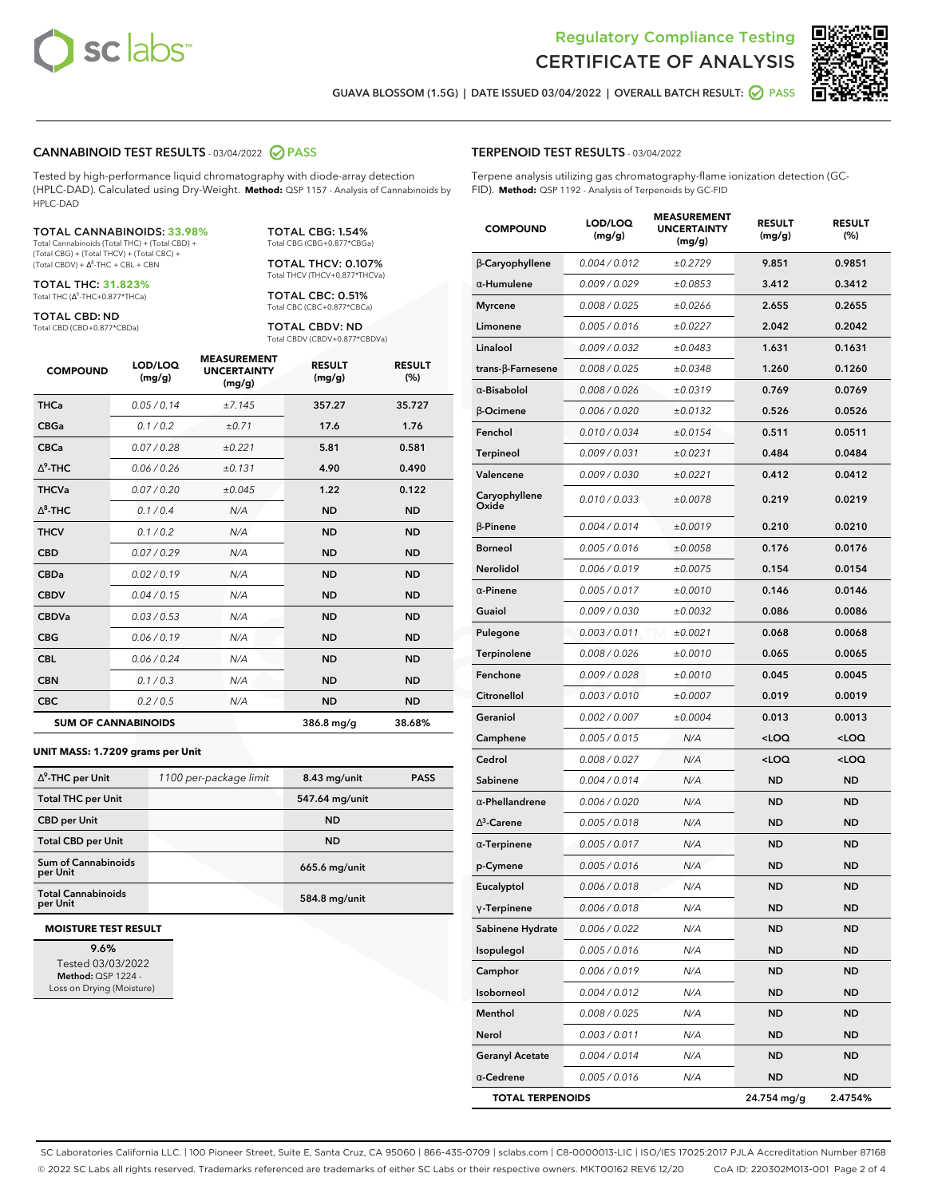



**GUAVA BLOSSOM (1.5G) | DATE ISSUED 03/04/2022 | OVERALL BATCH RESULT: PASS**

#### **CANNABINOID TEST RESULTS** - 03/04/2022 **PASS**

Tested by high-performance liquid chromatography with diode-array detection (HPLC-DAD). Calculated using Dry-Weight. **Method:** QSP 1157 - Analysis of Cannabinoids by HPLC-DAD

#### TOTAL CANNABINOIDS: **33.98%**

Total Cannabinoids (Total THC) + (Total CBD) + (Total CBG) + (Total THCV) + (Total CBC) +  $(Total CBDV) +  $\Delta^8$ -THC + CBL + CBN$ 

TOTAL THC: **31.823%** Total THC (Ƽ-THC+0.877\*THCa)

TOTAL CBD: ND

Total CBD (CBD+0.877\*CBDa)

TOTAL CBG: 1.54% Total CBG (CBG+0.877\*CBGa)

TOTAL THCV: 0.107% Total THCV (THCV+0.877\*THCVa)

TOTAL CBC: 0.51% Total CBC (CBC+0.877\*CBCa)

TOTAL CBDV: ND Total CBDV (CBDV+0.877\*CBDVa)

| <b>COMPOUND</b> | LOD/LOQ<br>(mg/g)          | <b>MEASUREMENT</b><br><b>UNCERTAINTY</b><br>(mg/g) | <b>RESULT</b><br>(mg/g) | <b>RESULT</b><br>(%) |
|-----------------|----------------------------|----------------------------------------------------|-------------------------|----------------------|
| <b>THCa</b>     | 0.05/0.14                  | ±7.145                                             | 357.27                  | 35.727               |
| <b>CBGa</b>     | 0.1 / 0.2                  | ±0.71                                              | 17.6                    | 1.76                 |
| <b>CBCa</b>     | 0.07/0.28                  | ±0.221                                             | 5.81                    | 0.581                |
| $\wedge^9$ -THC | 0.06 / 0.26                | ±0.131                                             | 4.90                    | 0.490                |
| <b>THCVa</b>    | 0.07/0.20                  | ±0.045                                             | 1.22                    | 0.122                |
| $\wedge^8$ -THC | 0.1/0.4                    | N/A                                                | <b>ND</b>               | <b>ND</b>            |
| <b>THCV</b>     | 0.1 / 0.2                  | N/A                                                | <b>ND</b>               | <b>ND</b>            |
| <b>CBD</b>      | 0.07/0.29                  | N/A                                                | <b>ND</b>               | <b>ND</b>            |
| <b>CBDa</b>     | 0.02/0.19                  | N/A                                                | <b>ND</b>               | <b>ND</b>            |
| <b>CBDV</b>     | 0.04 / 0.15                | N/A                                                | <b>ND</b>               | <b>ND</b>            |
| <b>CBDVa</b>    | 0.03/0.53                  | N/A                                                | <b>ND</b>               | <b>ND</b>            |
| <b>CBG</b>      | 0.06/0.19                  | N/A                                                | <b>ND</b>               | <b>ND</b>            |
| <b>CBL</b>      | 0.06 / 0.24                | N/A                                                | <b>ND</b>               | <b>ND</b>            |
| <b>CBN</b>      | 0.1/0.3                    | N/A                                                | <b>ND</b>               | <b>ND</b>            |
| <b>CBC</b>      | 0.2 / 0.5                  | N/A                                                | <b>ND</b>               | <b>ND</b>            |
|                 | <b>SUM OF CANNABINOIDS</b> |                                                    | 386.8 mg/g              | 38.68%               |

#### **UNIT MASS: 1.7209 grams per Unit**

| $\Delta^9$ -THC per Unit              | 1100 per-package limit | $8.43$ mg/unit | <b>PASS</b> |
|---------------------------------------|------------------------|----------------|-------------|
|                                       |                        |                |             |
| <b>Total THC per Unit</b>             |                        | 547.64 mg/unit |             |
| <b>CBD per Unit</b>                   |                        | <b>ND</b>      |             |
| <b>Total CBD per Unit</b>             |                        | <b>ND</b>      |             |
| Sum of Cannabinoids<br>per Unit       |                        | 665.6 mg/unit  |             |
| <b>Total Cannabinoids</b><br>per Unit |                        | 584.8 mg/unit  |             |

#### **MOISTURE TEST RESULT**

**9.6%** Tested 03/03/2022 **Method:** QSP 1224 - Loss on Drying (Moisture)

#### **TERPENOID TEST RESULTS** - 03/04/2022

Terpene analysis utilizing gas chromatography-flame ionization detection (GC-FID). **Method:** QSP 1192 - Analysis of Terpenoids by GC-FID

| <b>COMPOUND</b>         | LOD/LOQ<br>(mg/g) | <b>MEASUREMENT</b><br><b>UNCERTAINTY</b><br>(mg/g) | <b>RESULT</b><br>(mg/g)                         | <b>RESULT</b><br>(%) |
|-------------------------|-------------------|----------------------------------------------------|-------------------------------------------------|----------------------|
| β-Caryophyllene         | 0.004 / 0.012     | ±0.2729                                            | 9.851                                           | 0.9851               |
| $\alpha$ -Humulene      | 0.009/0.029       | ±0.0853                                            | 3.412                                           | 0.3412               |
| <b>Myrcene</b>          | 0.008 / 0.025     | ±0.0266                                            | 2.655                                           | 0.2655               |
| Limonene                | 0.005 / 0.016     | ±0.0227                                            | 2.042                                           | 0.2042               |
| Linalool                | 0.009 / 0.032     | ±0.0483                                            | 1.631                                           | 0.1631               |
| trans-ß-Farnesene       | 0.008 / 0.025     | ±0.0348                                            | 1.260                                           | 0.1260               |
| $\alpha$ -Bisabolol     | 0.008 / 0.026     | ±0.0319                                            | 0.769                                           | 0.0769               |
| $\beta$ -Ocimene        | 0.006 / 0.020     | ±0.0132                                            | 0.526                                           | 0.0526               |
| Fenchol                 | 0.010 / 0.034     | ±0.0154                                            | 0.511                                           | 0.0511               |
| <b>Terpineol</b>        | 0.009 / 0.031     | ±0.0231                                            | 0.484                                           | 0.0484               |
| Valencene               | 0.009 / 0.030     | ±0.0221                                            | 0.412                                           | 0.0412               |
| Caryophyllene<br>Oxide  | 0.010 / 0.033     | ±0.0078                                            | 0.219                                           | 0.0219               |
| <b>B-Pinene</b>         | 0.004 / 0.014     | ±0.0019                                            | 0.210                                           | 0.0210               |
| <b>Borneol</b>          | 0.005 / 0.016     | ±0.0058                                            | 0.176                                           | 0.0176               |
| <b>Nerolidol</b>        | 0.006 / 0.019     | ±0.0075                                            | 0.154                                           | 0.0154               |
| $\alpha$ -Pinene        | 0.005 / 0.017     | ±0.0010                                            | 0.146                                           | 0.0146               |
| Guaiol                  | 0.009 / 0.030     | ±0.0032                                            | 0.086                                           | 0.0086               |
| Pulegone                | 0.003 / 0.011     | ±0.0021                                            | 0.068                                           | 0.0068               |
| Terpinolene             | 0.008 / 0.026     | ±0.0010                                            | 0.065                                           | 0.0065               |
| Fenchone                | 0.009 / 0.028     | ±0.0010                                            | 0.045                                           | 0.0045               |
| Citronellol             | 0.003 / 0.010     | ±0.0007                                            | 0.019                                           | 0.0019               |
| Geraniol                | 0.002 / 0.007     | ±0.0004                                            | 0.013                                           | 0.0013               |
| Camphene                | 0.005 / 0.015     | N/A                                                | <loq< th=""><th><loq< th=""></loq<></th></loq<> | <loq< th=""></loq<>  |
| Cedrol                  | 0.008 / 0.027     | N/A                                                | <loq< th=""><th><loq< th=""></loq<></th></loq<> | <loq< th=""></loq<>  |
| Sabinene                | 0.004 / 0.014     | N/A                                                | <b>ND</b>                                       | ND                   |
| $\alpha$ -Phellandrene  | 0.006 / 0.020     | N/A                                                | <b>ND</b>                                       | ND                   |
| $\Delta^3$ -Carene      | 0.005 / 0.018     | N/A                                                | ND                                              | <b>ND</b>            |
| $\alpha$ -Terpinene     | 0.005 / 0.017     | N/A                                                | <b>ND</b>                                       | <b>ND</b>            |
| p-Cymene                | 0.005 / 0.016     | N/A                                                | ND                                              | <b>ND</b>            |
| Eucalyptol              | 0.006 / 0.018     | N/A                                                | <b>ND</b>                                       | <b>ND</b>            |
| $\gamma$ -Terpinene     | 0.006 / 0.018     | N/A                                                | ND                                              | ND                   |
| Sabinene Hydrate        | 0.006 / 0.022     | N/A                                                | ND                                              | ND                   |
| Isopulegol              | 0.005 / 0.016     | N/A                                                | <b>ND</b>                                       | ND                   |
| Camphor                 | 0.006 / 0.019     | N/A                                                | <b>ND</b>                                       | <b>ND</b>            |
| Isoborneol              | 0.004 / 0.012     | N/A                                                | ND                                              | ND                   |
| Menthol                 | 0.008 / 0.025     | N/A                                                | ND                                              | ND                   |
| Nerol                   | 0.003 / 0.011     | N/A                                                | <b>ND</b>                                       | <b>ND</b>            |
| <b>Geranyl Acetate</b>  | 0.004 / 0.014     | N/A                                                | ND                                              | ND                   |
| $\alpha$ -Cedrene       | 0.005 / 0.016     | N/A                                                | <b>ND</b>                                       | ND                   |
| <b>TOTAL TERPENOIDS</b> |                   |                                                    | 24.754 mg/g                                     | 2.4754%              |

SC Laboratories California LLC. | 100 Pioneer Street, Suite E, Santa Cruz, CA 95060 | 866-435-0709 | sclabs.com | C8-0000013-LIC | ISO/IES 17025:2017 PJLA Accreditation Number 87168 © 2022 SC Labs all rights reserved. Trademarks referenced are trademarks of either SC Labs or their respective owners. MKT00162 REV6 12/20 CoA ID: 220302M013-001 Page 2 of 4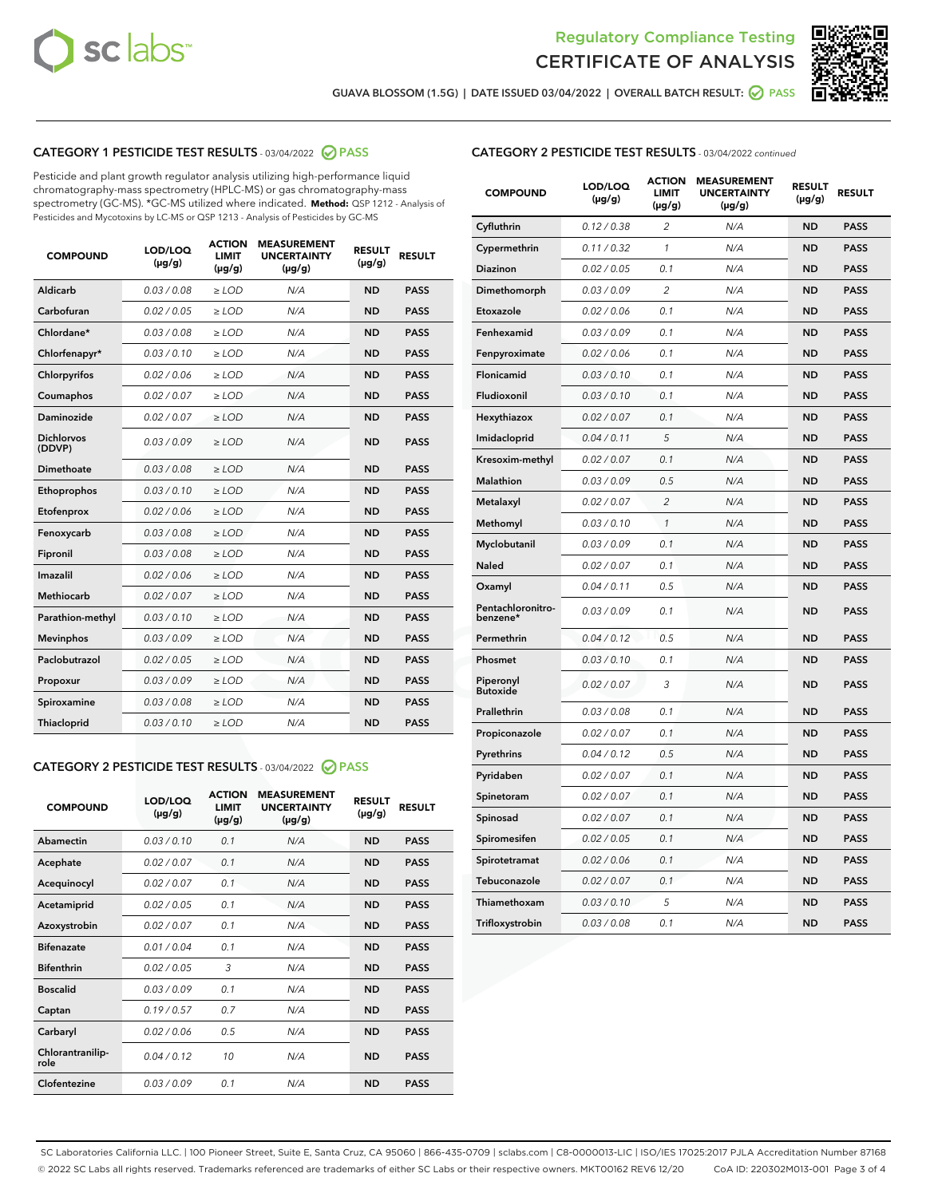



**GUAVA BLOSSOM (1.5G) | DATE ISSUED 03/04/2022 | OVERALL BATCH RESULT: PASS**

# **CATEGORY 1 PESTICIDE TEST RESULTS** - 03/04/2022 **PASS**

Pesticide and plant growth regulator analysis utilizing high-performance liquid chromatography-mass spectrometry (HPLC-MS) or gas chromatography-mass spectrometry (GC-MS). \*GC-MS utilized where indicated. **Method:** QSP 1212 - Analysis of Pesticides and Mycotoxins by LC-MS or QSP 1213 - Analysis of Pesticides by GC-MS

| 0.03 / 0.08<br>Aldicarb<br>$\ge$ LOD<br>N/A<br><b>ND</b><br><b>PASS</b><br>Carbofuran<br>0.02 / 0.05<br>$\ge$ LOD<br>N/A<br><b>ND</b><br><b>PASS</b><br>Chlordane*<br>0.03 / 0.08<br>N/A<br><b>PASS</b><br>$>$ LOD<br><b>ND</b><br><b>PASS</b><br>Chlorfenapyr*<br>0.03/0.10<br>$>$ LOD<br>N/A<br><b>ND</b><br>0.02 / 0.06<br>$\ge$ LOD<br>N/A<br><b>ND</b><br><b>PASS</b><br>Chlorpyrifos<br>0.02 / 0.07<br>N/A<br>Coumaphos<br>$\ge$ LOD<br><b>ND</b><br><b>PASS</b><br>Daminozide<br>N/A<br><b>PASS</b><br>0.02 / 0.07<br>$\ge$ LOD<br><b>ND</b><br><b>Dichlorvos</b><br>0.03/0.09<br>$>$ LOD<br>N/A<br><b>ND</b><br><b>PASS</b><br>(DDVP)<br>Dimethoate<br>0.03 / 0.08<br>$\ge$ LOD<br>N/A<br><b>ND</b><br><b>PASS</b><br>0.03/0.10<br><b>ND</b><br><b>PASS</b><br>Ethoprophos<br>$\ge$ LOD<br>N/A<br><b>PASS</b><br>Etofenprox<br>0.02 / 0.06<br>$\ge$ LOD<br>N/A<br><b>ND</b><br>0.03 / 0.08<br>N/A<br><b>ND</b><br><b>PASS</b><br>Fenoxycarb<br>$\ge$ LOD<br>0.03 / 0.08<br>$\ge$ LOD<br>N/A<br><b>ND</b><br><b>PASS</b><br>Fipronil<br>Imazalil<br>0.02/0.06<br>N/A<br>$>$ LOD<br><b>ND</b><br><b>PASS</b><br><b>Methiocarb</b><br>0.02 / 0.07<br>$\ge$ LOD<br>N/A<br><b>ND</b><br><b>PASS</b><br>0.03/0.10<br>N/A<br><b>ND</b><br><b>PASS</b><br>Parathion-methyl<br>$\ge$ LOD<br>0.03/0.09<br>N/A<br><b>ND</b><br><b>PASS</b><br><b>Mevinphos</b><br>$>$ LOD<br>Paclobutrazol<br>N/A<br><b>ND</b><br><b>PASS</b><br>0.02 / 0.05<br>$>$ LOD<br>0.03/0.09<br>N/A<br><b>ND</b><br><b>PASS</b><br>$\ge$ LOD<br>Propoxur<br>0.03 / 0.08<br>N/A<br><b>ND</b><br>Spiroxamine<br>$\ge$ LOD<br><b>PASS</b><br><b>PASS</b><br>Thiacloprid<br>0.03/0.10<br>$>$ LOD<br>N/A<br><b>ND</b> | <b>COMPOUND</b> | LOD/LOQ<br>$(\mu g/g)$ | <b>ACTION</b><br>LIMIT<br>$(\mu g/g)$ | <b>MEASUREMENT</b><br><b>UNCERTAINTY</b><br>$(\mu g/g)$ | <b>RESULT</b><br>$(\mu g/g)$ | <b>RESULT</b> |
|---------------------------------------------------------------------------------------------------------------------------------------------------------------------------------------------------------------------------------------------------------------------------------------------------------------------------------------------------------------------------------------------------------------------------------------------------------------------------------------------------------------------------------------------------------------------------------------------------------------------------------------------------------------------------------------------------------------------------------------------------------------------------------------------------------------------------------------------------------------------------------------------------------------------------------------------------------------------------------------------------------------------------------------------------------------------------------------------------------------------------------------------------------------------------------------------------------------------------------------------------------------------------------------------------------------------------------------------------------------------------------------------------------------------------------------------------------------------------------------------------------------------------------------------------------------------------------------------------------------------------------------------------------------------------------------|-----------------|------------------------|---------------------------------------|---------------------------------------------------------|------------------------------|---------------|
|                                                                                                                                                                                                                                                                                                                                                                                                                                                                                                                                                                                                                                                                                                                                                                                                                                                                                                                                                                                                                                                                                                                                                                                                                                                                                                                                                                                                                                                                                                                                                                                                                                                                                       |                 |                        |                                       |                                                         |                              |               |
|                                                                                                                                                                                                                                                                                                                                                                                                                                                                                                                                                                                                                                                                                                                                                                                                                                                                                                                                                                                                                                                                                                                                                                                                                                                                                                                                                                                                                                                                                                                                                                                                                                                                                       |                 |                        |                                       |                                                         |                              |               |
|                                                                                                                                                                                                                                                                                                                                                                                                                                                                                                                                                                                                                                                                                                                                                                                                                                                                                                                                                                                                                                                                                                                                                                                                                                                                                                                                                                                                                                                                                                                                                                                                                                                                                       |                 |                        |                                       |                                                         |                              |               |
|                                                                                                                                                                                                                                                                                                                                                                                                                                                                                                                                                                                                                                                                                                                                                                                                                                                                                                                                                                                                                                                                                                                                                                                                                                                                                                                                                                                                                                                                                                                                                                                                                                                                                       |                 |                        |                                       |                                                         |                              |               |
|                                                                                                                                                                                                                                                                                                                                                                                                                                                                                                                                                                                                                                                                                                                                                                                                                                                                                                                                                                                                                                                                                                                                                                                                                                                                                                                                                                                                                                                                                                                                                                                                                                                                                       |                 |                        |                                       |                                                         |                              |               |
|                                                                                                                                                                                                                                                                                                                                                                                                                                                                                                                                                                                                                                                                                                                                                                                                                                                                                                                                                                                                                                                                                                                                                                                                                                                                                                                                                                                                                                                                                                                                                                                                                                                                                       |                 |                        |                                       |                                                         |                              |               |
|                                                                                                                                                                                                                                                                                                                                                                                                                                                                                                                                                                                                                                                                                                                                                                                                                                                                                                                                                                                                                                                                                                                                                                                                                                                                                                                                                                                                                                                                                                                                                                                                                                                                                       |                 |                        |                                       |                                                         |                              |               |
|                                                                                                                                                                                                                                                                                                                                                                                                                                                                                                                                                                                                                                                                                                                                                                                                                                                                                                                                                                                                                                                                                                                                                                                                                                                                                                                                                                                                                                                                                                                                                                                                                                                                                       |                 |                        |                                       |                                                         |                              |               |
|                                                                                                                                                                                                                                                                                                                                                                                                                                                                                                                                                                                                                                                                                                                                                                                                                                                                                                                                                                                                                                                                                                                                                                                                                                                                                                                                                                                                                                                                                                                                                                                                                                                                                       |                 |                        |                                       |                                                         |                              |               |
|                                                                                                                                                                                                                                                                                                                                                                                                                                                                                                                                                                                                                                                                                                                                                                                                                                                                                                                                                                                                                                                                                                                                                                                                                                                                                                                                                                                                                                                                                                                                                                                                                                                                                       |                 |                        |                                       |                                                         |                              |               |
|                                                                                                                                                                                                                                                                                                                                                                                                                                                                                                                                                                                                                                                                                                                                                                                                                                                                                                                                                                                                                                                                                                                                                                                                                                                                                                                                                                                                                                                                                                                                                                                                                                                                                       |                 |                        |                                       |                                                         |                              |               |
|                                                                                                                                                                                                                                                                                                                                                                                                                                                                                                                                                                                                                                                                                                                                                                                                                                                                                                                                                                                                                                                                                                                                                                                                                                                                                                                                                                                                                                                                                                                                                                                                                                                                                       |                 |                        |                                       |                                                         |                              |               |
|                                                                                                                                                                                                                                                                                                                                                                                                                                                                                                                                                                                                                                                                                                                                                                                                                                                                                                                                                                                                                                                                                                                                                                                                                                                                                                                                                                                                                                                                                                                                                                                                                                                                                       |                 |                        |                                       |                                                         |                              |               |
|                                                                                                                                                                                                                                                                                                                                                                                                                                                                                                                                                                                                                                                                                                                                                                                                                                                                                                                                                                                                                                                                                                                                                                                                                                                                                                                                                                                                                                                                                                                                                                                                                                                                                       |                 |                        |                                       |                                                         |                              |               |
|                                                                                                                                                                                                                                                                                                                                                                                                                                                                                                                                                                                                                                                                                                                                                                                                                                                                                                                                                                                                                                                                                                                                                                                                                                                                                                                                                                                                                                                                                                                                                                                                                                                                                       |                 |                        |                                       |                                                         |                              |               |
|                                                                                                                                                                                                                                                                                                                                                                                                                                                                                                                                                                                                                                                                                                                                                                                                                                                                                                                                                                                                                                                                                                                                                                                                                                                                                                                                                                                                                                                                                                                                                                                                                                                                                       |                 |                        |                                       |                                                         |                              |               |
|                                                                                                                                                                                                                                                                                                                                                                                                                                                                                                                                                                                                                                                                                                                                                                                                                                                                                                                                                                                                                                                                                                                                                                                                                                                                                                                                                                                                                                                                                                                                                                                                                                                                                       |                 |                        |                                       |                                                         |                              |               |
|                                                                                                                                                                                                                                                                                                                                                                                                                                                                                                                                                                                                                                                                                                                                                                                                                                                                                                                                                                                                                                                                                                                                                                                                                                                                                                                                                                                                                                                                                                                                                                                                                                                                                       |                 |                        |                                       |                                                         |                              |               |
|                                                                                                                                                                                                                                                                                                                                                                                                                                                                                                                                                                                                                                                                                                                                                                                                                                                                                                                                                                                                                                                                                                                                                                                                                                                                                                                                                                                                                                                                                                                                                                                                                                                                                       |                 |                        |                                       |                                                         |                              |               |
|                                                                                                                                                                                                                                                                                                                                                                                                                                                                                                                                                                                                                                                                                                                                                                                                                                                                                                                                                                                                                                                                                                                                                                                                                                                                                                                                                                                                                                                                                                                                                                                                                                                                                       |                 |                        |                                       |                                                         |                              |               |
|                                                                                                                                                                                                                                                                                                                                                                                                                                                                                                                                                                                                                                                                                                                                                                                                                                                                                                                                                                                                                                                                                                                                                                                                                                                                                                                                                                                                                                                                                                                                                                                                                                                                                       |                 |                        |                                       |                                                         |                              |               |

# **CATEGORY 2 PESTICIDE TEST RESULTS** - 03/04/2022 **PASS**

| <b>COMPOUND</b>          | LOD/LOO<br>$(\mu g/g)$ | <b>ACTION</b><br><b>LIMIT</b><br>$(\mu g/g)$ | <b>MEASUREMENT</b><br><b>UNCERTAINTY</b><br>$(\mu g/g)$ | <b>RESULT</b><br>$(\mu g/g)$ | <b>RESULT</b> |
|--------------------------|------------------------|----------------------------------------------|---------------------------------------------------------|------------------------------|---------------|
| Abamectin                | 0.03/0.10              | 0.1                                          | N/A                                                     | <b>ND</b>                    | <b>PASS</b>   |
| Acephate                 | 0.02 / 0.07            | 0.1                                          | N/A                                                     | <b>ND</b>                    | <b>PASS</b>   |
| Acequinocyl              | 0.02/0.07              | 0.1                                          | N/A                                                     | <b>ND</b>                    | <b>PASS</b>   |
| Acetamiprid              | 0.02/0.05              | 0.1                                          | N/A                                                     | <b>ND</b>                    | <b>PASS</b>   |
| Azoxystrobin             | 0.02 / 0.07            | 0.1                                          | N/A                                                     | <b>ND</b>                    | <b>PASS</b>   |
| <b>Bifenazate</b>        | 0.01/0.04              | 0.1                                          | N/A                                                     | <b>ND</b>                    | <b>PASS</b>   |
| <b>Bifenthrin</b>        | 0.02/0.05              | 3                                            | N/A                                                     | <b>ND</b>                    | <b>PASS</b>   |
| <b>Boscalid</b>          | 0.03/0.09              | 0.1                                          | N/A                                                     | <b>ND</b>                    | <b>PASS</b>   |
| Captan                   | 0.19/0.57              | 0.7                                          | N/A                                                     | <b>ND</b>                    | <b>PASS</b>   |
| Carbaryl                 | 0.02/0.06              | 0.5                                          | N/A                                                     | <b>ND</b>                    | <b>PASS</b>   |
| Chlorantranilip-<br>role | 0.04/0.12              | 10                                           | N/A                                                     | <b>ND</b>                    | <b>PASS</b>   |
| Clofentezine             | 0.03/0.09              | 0.1                                          | N/A                                                     | <b>ND</b>                    | <b>PASS</b>   |

### **CATEGORY 2 PESTICIDE TEST RESULTS** - 03/04/2022 continued

| <b>COMPOUND</b>               | LOD/LOQ<br>(µg/g) | <b>ACTION</b><br>LIMIT<br>(µg/g) | <b>MEASUREMENT</b><br><b>UNCERTAINTY</b><br>$(\mu g/g)$ | <b>RESULT</b><br>$(\mu g/g)$ | <b>RESULT</b> |
|-------------------------------|-------------------|----------------------------------|---------------------------------------------------------|------------------------------|---------------|
| Cyfluthrin                    | 0.12 / 0.38       | 2                                | N/A                                                     | <b>ND</b>                    | <b>PASS</b>   |
| Cypermethrin                  | 0.11 / 0.32       | 1                                | N/A                                                     | <b>ND</b>                    | <b>PASS</b>   |
| <b>Diazinon</b>               | 0.02 / 0.05       | 0.1                              | N/A                                                     | <b>ND</b>                    | <b>PASS</b>   |
| Dimethomorph                  | 0.03 / 0.09       | 2                                | N/A                                                     | <b>ND</b>                    | <b>PASS</b>   |
| Etoxazole                     | 0.02 / 0.06       | 0.1                              | N/A                                                     | <b>ND</b>                    | <b>PASS</b>   |
| Fenhexamid                    | 0.03 / 0.09       | 0.1                              | N/A                                                     | <b>ND</b>                    | <b>PASS</b>   |
| Fenpyroximate                 | 0.02 / 0.06       | 0.1                              | N/A                                                     | <b>ND</b>                    | <b>PASS</b>   |
| Flonicamid                    | 0.03 / 0.10       | 0.1                              | N/A                                                     | <b>ND</b>                    | <b>PASS</b>   |
| Fludioxonil                   | 0.03 / 0.10       | 0.1                              | N/A                                                     | <b>ND</b>                    | <b>PASS</b>   |
| Hexythiazox                   | 0.02 / 0.07       | 0.1                              | N/A                                                     | <b>ND</b>                    | <b>PASS</b>   |
| Imidacloprid                  | 0.04 / 0.11       | 5                                | N/A                                                     | <b>ND</b>                    | <b>PASS</b>   |
| Kresoxim-methyl               | 0.02 / 0.07       | 0.1                              | N/A                                                     | <b>ND</b>                    | <b>PASS</b>   |
| Malathion                     | 0.03 / 0.09       | 0.5                              | N/A                                                     | <b>ND</b>                    | <b>PASS</b>   |
| Metalaxyl                     | 0.02 / 0.07       | $\overline{c}$                   | N/A                                                     | <b>ND</b>                    | <b>PASS</b>   |
| Methomyl                      | 0.03 / 0.10       | 1                                | N/A                                                     | <b>ND</b>                    | <b>PASS</b>   |
| Myclobutanil                  | 0.03/0.09         | 0.1                              | N/A                                                     | <b>ND</b>                    | <b>PASS</b>   |
| Naled                         | 0.02 / 0.07       | 0.1                              | N/A                                                     | <b>ND</b>                    | <b>PASS</b>   |
| Oxamyl                        | 0.04 / 0.11       | 0.5                              | N/A                                                     | <b>ND</b>                    | <b>PASS</b>   |
| Pentachloronitro-<br>benzene* | 0.03/0.09         | 0.1                              | N/A                                                     | <b>ND</b>                    | <b>PASS</b>   |
| Permethrin                    | 0.04 / 0.12       | 0.5                              | N/A                                                     | <b>ND</b>                    | <b>PASS</b>   |
| Phosmet                       | 0.03 / 0.10       | 0.1                              | N/A                                                     | <b>ND</b>                    | PASS          |
| Piperonyl<br><b>Butoxide</b>  | 0.02 / 0.07       | 3                                | N/A                                                     | <b>ND</b>                    | <b>PASS</b>   |
| Prallethrin                   | 0.03 / 0.08       | 0.1                              | N/A                                                     | <b>ND</b>                    | <b>PASS</b>   |
| Propiconazole                 | 0.02 / 0.07       | 0.1                              | N/A                                                     | <b>ND</b>                    | <b>PASS</b>   |
| Pyrethrins                    | 0.04 / 0.12       | 0.5                              | N/A                                                     | <b>ND</b>                    | <b>PASS</b>   |
| Pyridaben                     | 0.02 / 0.07       | 0.1                              | N/A                                                     | <b>ND</b>                    | <b>PASS</b>   |
| Spinetoram                    | 0.02 / 0.07       | 0.1                              | N/A                                                     | <b>ND</b>                    | <b>PASS</b>   |
| Spinosad                      | 0.02 / 0.07       | 0.1                              | N/A                                                     | <b>ND</b>                    | <b>PASS</b>   |
| Spiromesifen                  | 0.02 / 0.05       | 0.1                              | N/A                                                     | <b>ND</b>                    | <b>PASS</b>   |
| Spirotetramat                 | 0.02 / 0.06       | 0.1                              | N/A                                                     | <b>ND</b>                    | <b>PASS</b>   |
| Tebuconazole                  | 0.02 / 0.07       | 0.1                              | N/A                                                     | <b>ND</b>                    | <b>PASS</b>   |
| Thiamethoxam                  | 0.03 / 0.10       | 5                                | N/A                                                     | <b>ND</b>                    | <b>PASS</b>   |
| Trifloxystrobin               | 0.03 / 0.08       | 0.1                              | N/A                                                     | <b>ND</b>                    | <b>PASS</b>   |

SC Laboratories California LLC. | 100 Pioneer Street, Suite E, Santa Cruz, CA 95060 | 866-435-0709 | sclabs.com | C8-0000013-LIC | ISO/IES 17025:2017 PJLA Accreditation Number 87168 © 2022 SC Labs all rights reserved. Trademarks referenced are trademarks of either SC Labs or their respective owners. MKT00162 REV6 12/20 CoA ID: 220302M013-001 Page 3 of 4